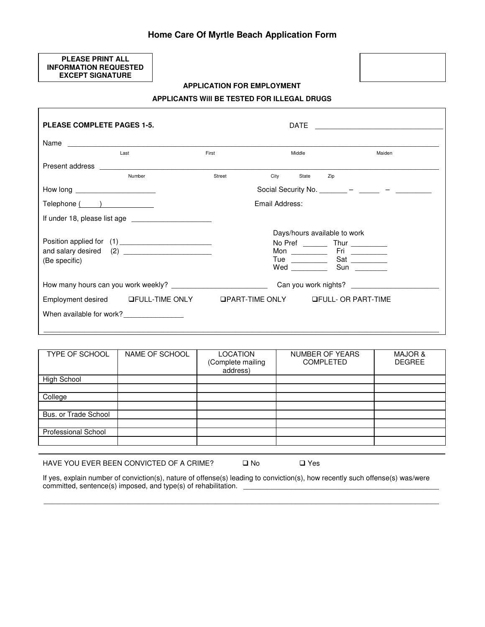## **Home Care Of Myrtle Beach Application Form**

**PLEASE PRINT ALL INFORMATION REQUESTED EXCEPT SIGNATURE** 

 $\overline{\phantom{a}}$ 

### **APPLICATION FOR EMPLOYMENT**

### **APPLICANTS Will BE TESTED FOR ILLEGAL DRUGS**

| <b>PLEASE COMPLETE PAGES 1-5.</b> |                                          |        | DATE           |                                                 |        |
|-----------------------------------|------------------------------------------|--------|----------------|-------------------------------------------------|--------|
|                                   |                                          |        |                |                                                 |        |
|                                   | Last                                     | First  | Middle         |                                                 | Maiden |
| Present address                   |                                          |        |                |                                                 |        |
|                                   | Number                                   | Street | City           | State<br>Zip                                    |        |
| How long ______________________   |                                          |        |                | Social Security No. ________ - ______ - _______ |        |
| Telephone ()                      |                                          |        | Email Address: |                                                 |        |
|                                   |                                          |        |                |                                                 |        |
|                                   |                                          |        |                | Days/hours available to work                    |        |
|                                   |                                          |        |                |                                                 |        |
|                                   |                                          |        |                |                                                 |        |
| (Be specific)                     |                                          |        |                |                                                 |        |
|                                   |                                          |        |                | Can you work nights?                            |        |
|                                   | Employment desired LFULL-TIME ONLY       |        |                | <b>QPART-TIME ONLY GEULL- OR PART-TIME</b>      |        |
|                                   | When available for work?________________ |        |                |                                                 |        |
|                                   |                                          |        |                |                                                 |        |

| TYPE OF SCHOOL       | NAME OF SCHOOL | LOCATION<br>(Complete mailing<br>address) | NUMBER OF YEARS<br><b>COMPLETED</b> | MAJOR &<br><b>DEGREE</b> |
|----------------------|----------------|-------------------------------------------|-------------------------------------|--------------------------|
| High School          |                |                                           |                                     |                          |
|                      |                |                                           |                                     |                          |
| College              |                |                                           |                                     |                          |
|                      |                |                                           |                                     |                          |
| Bus. or Trade School |                |                                           |                                     |                          |
|                      |                |                                           |                                     |                          |
| Professional School  |                |                                           |                                     |                          |
|                      |                |                                           |                                     |                          |
|                      |                |                                           |                                     |                          |

HAVE YOU EVER BEEN CONVICTED OF A CRIME?  $\Box$  No  $\Box$  Yes

If yes, explain number of conviction(s), nature of offense(s) leading to conviction(s), how recently such offense(s) was/were committed, sentence(s) imposed, and type(s) of rehabilitation.

\_\_\_\_\_\_\_\_\_\_\_\_\_\_\_\_\_\_\_\_\_\_\_\_\_\_\_\_\_\_\_\_\_\_\_\_\_\_\_\_\_\_\_\_\_\_\_\_\_\_\_\_\_\_\_\_\_\_\_\_\_\_\_\_\_\_\_\_\_\_\_\_\_\_\_\_\_\_\_\_\_\_\_\_\_\_\_\_\_\_\_\_\_\_\_\_\_\_\_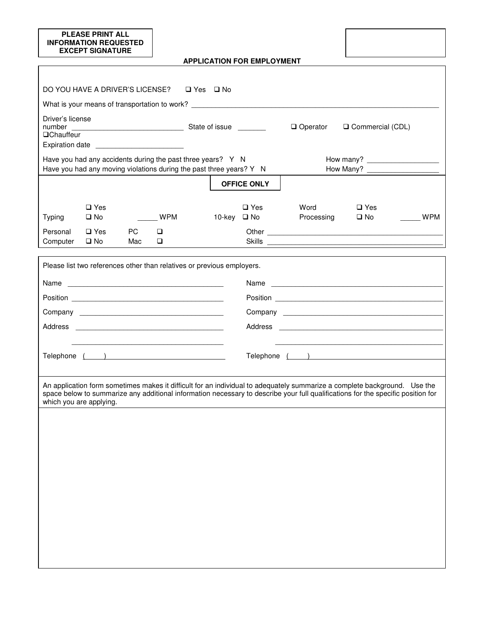### **PLEASE PRINT ALL INFORMATION REQUESTED EXCEPT SIGNATURE**

 $\mathbf{r}$ 

**APPLICATION FOR EMPLOYMENT**

|                                       | DO YOU HAVE A DRIVER'S LICENSE? □ Yes □ No                                                                                         |                  |            |             |                    |                                                                                                                                                                                                                                              |                            |            |
|---------------------------------------|------------------------------------------------------------------------------------------------------------------------------------|------------------|------------|-------------|--------------------|----------------------------------------------------------------------------------------------------------------------------------------------------------------------------------------------------------------------------------------------|----------------------------|------------|
| Driver's license<br><b>QChauffeur</b> | Expiration date __________________________                                                                                         |                  |            |             |                    | What is your means of transportation to work? Network and the set of the set of the set of the set of the set of the set of the set of the set of the set of the set of the set of the set of the set of the set of the set of<br>□ Operator | Commercial (CDL)           |            |
|                                       | Have you had any accidents during the past three years? Y N<br>Have you had any moving violations during the past three years? Y N |                  |            |             |                    |                                                                                                                                                                                                                                              | How many?                  |            |
|                                       |                                                                                                                                    |                  |            |             | <b>OFFICE ONLY</b> |                                                                                                                                                                                                                                              |                            |            |
| <b>Typing</b>                         | $\square$ Yes<br>$\square$ No                                                                                                      |                  | <b>WPM</b> | 10-key □ No | $\square$ Yes      | Word<br>Processing                                                                                                                                                                                                                           | $\Box$ Yes<br>$\square$ No | <b>WPM</b> |
| Personal<br>Computer                  | $\Box$ Yes<br>$\square$ No                                                                                                         | <b>PC</b><br>Mac | □<br>❏     |             |                    | Skills                                                                                                                                                                                                                                       |                            |            |
|                                       | Telephone ( )                                                                                                                      |                  |            |             |                    | Position<br>An application form sometimes makes it difficult for an individual to adequately summarize a complete background. Use the                                                                                                        |                            |            |
|                                       | which you are applying.                                                                                                            |                  |            |             |                    | space below to summarize any additional information necessary to describe your full qualifications for the specific position for                                                                                                             |                            |            |
|                                       |                                                                                                                                    |                  |            |             |                    |                                                                                                                                                                                                                                              |                            |            |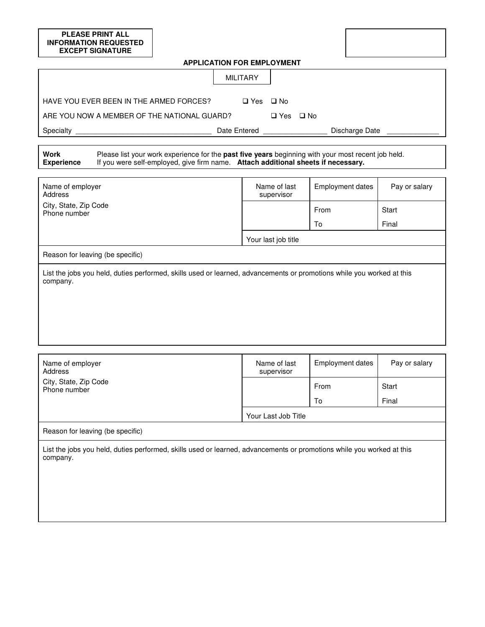# **PLEASE PRINT ALL INFORMATION REQUESTED EXCEPT SIGNATURE APPLICATION FOR EMPLOYMENT**  MILITARY HAVE YOU EVER BEEN IN THE ARMED FORCES?  $\Box$  Yes  $\Box$  No ARE YOU NOW A MEMBER OF THE NATIONAL GUARD?  $\Box$  Yes  $\Box$  No Specialty \_\_\_\_\_\_\_\_\_\_\_\_\_\_\_\_\_\_\_\_\_\_\_\_\_\_\_\_\_\_\_\_\_\_ Date Entered \_\_\_\_\_\_\_\_\_\_\_\_\_\_\_\_ Discharge Date \_\_\_\_\_\_\_\_\_\_\_\_\_ **Work Experience** Please list your work experience for the **past five years** beginning with your most recent job held. If you were self-employed, give firm name. **Attach additional sheets if necessary.**

| Name of employer<br>Address                                                                                                       | Name of last<br>supervisor | <b>Employment dates</b> | Pay or salary |  |
|-----------------------------------------------------------------------------------------------------------------------------------|----------------------------|-------------------------|---------------|--|
| City, State, Zip Code<br>Phone number                                                                                             |                            | From                    | Start         |  |
|                                                                                                                                   |                            | To                      | Final         |  |
|                                                                                                                                   | Your last job title        |                         |               |  |
| Reason for leaving (be specific)                                                                                                  |                            |                         |               |  |
| List the jobs you held, duties performed, skills used or learned, advancements or promotions while you worked at this<br>company. |                            |                         |               |  |
|                                                                                                                                   |                            |                         |               |  |
|                                                                                                                                   |                            |                         |               |  |
|                                                                                                                                   |                            |                         |               |  |

| Name of employer<br>Address                                                                                                       | Name of last<br>supervisor | <b>Employment dates</b> | Pay or salary |  |
|-----------------------------------------------------------------------------------------------------------------------------------|----------------------------|-------------------------|---------------|--|
| City, State, Zip Code<br>Phone number                                                                                             |                            | From                    | Start         |  |
|                                                                                                                                   |                            | To                      | Final         |  |
|                                                                                                                                   | Your Last Job Title        |                         |               |  |
| Reason for leaving (be specific)                                                                                                  |                            |                         |               |  |
| List the jobs you held, duties performed, skills used or learned, advancements or promotions while you worked at this<br>company. |                            |                         |               |  |
|                                                                                                                                   |                            |                         |               |  |
|                                                                                                                                   |                            |                         |               |  |
|                                                                                                                                   |                            |                         |               |  |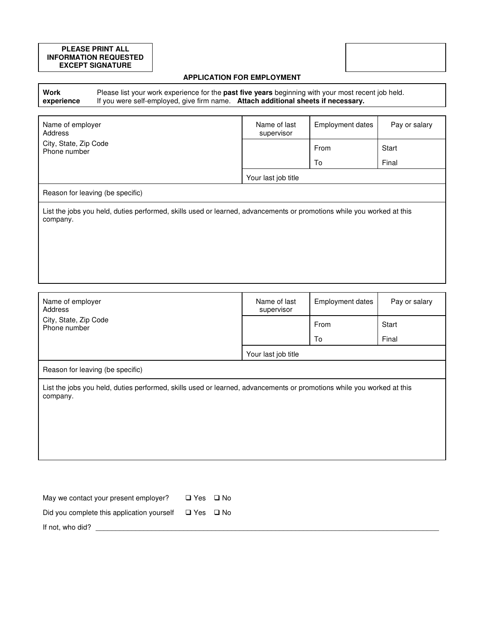### **PLEASE PRINT ALL INFORMATION REQUESTED EXCEPT SIGNATURE**

### **APPLICATION FOR EMPLOYMENT**

**Work experience** Please list your work experience for the **past five years** beginning with your most recent job held. If you were self-employed, give firm name. **Attach additional sheets if necessary.**

| Name of employer<br>Address                                                                                                       | Name of last<br>supervisor | <b>Employment dates</b> | Pay or salary |  |  |
|-----------------------------------------------------------------------------------------------------------------------------------|----------------------------|-------------------------|---------------|--|--|
| City, State, Zip Code<br>Phone number                                                                                             |                            | From                    | Start         |  |  |
|                                                                                                                                   |                            | To                      | Final         |  |  |
|                                                                                                                                   | Your last job title        |                         |               |  |  |
| Reason for leaving (be specific)                                                                                                  |                            |                         |               |  |  |
| List the jobs you held, duties performed, skills used or learned, advancements or promotions while you worked at this<br>company. |                            |                         |               |  |  |
|                                                                                                                                   |                            |                         |               |  |  |
|                                                                                                                                   |                            |                         |               |  |  |
|                                                                                                                                   |                            |                         |               |  |  |

| Name of employer<br>Address                                                                                                       | Name of last<br>supervisor | <b>Employment dates</b> | Pay or salary |
|-----------------------------------------------------------------------------------------------------------------------------------|----------------------------|-------------------------|---------------|
| City, State, Zip Code<br>Phone number                                                                                             |                            | From                    | Start         |
|                                                                                                                                   |                            | To                      | Final         |
|                                                                                                                                   | Your last job title        |                         |               |
| Reason for leaving (be specific)                                                                                                  |                            |                         |               |
| List the jobs you held, duties performed, skills used or learned, advancements or promotions while you worked at this<br>company. |                            |                         |               |

| May we contact your present employer?      | $\Box$ Yes $\Box$ No |  |
|--------------------------------------------|----------------------|--|
| Did you complete this application yourself | □ Yes □ No           |  |
| If not, who did?                           |                      |  |